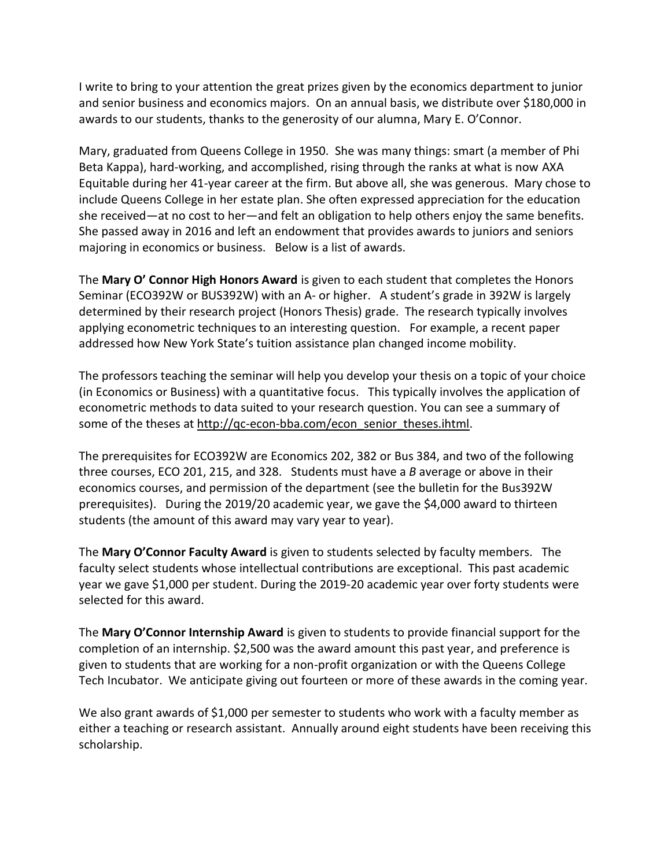I write to bring to your attention the great prizes given by the economics department to junior and senior business and economics majors. On an annual basis, we distribute over \$180,000 in awards to our students, thanks to the generosity of our alumna, Mary E. O'Connor.

Mary, graduated from Queens College in 1950. She was many things: smart (a member of Phi Beta Kappa), hard-working, and accomplished, rising through the ranks at what is now AXA Equitable during her 41-year career at the firm. But above all, she was generous. Mary chose to include Queens College in her estate plan. She often expressed appreciation for the education she received—at no cost to her—and felt an obligation to help others enjoy the same benefits. She passed away in 2016 and left an endowment that provides awards to juniors and seniors majoring in economics or business. Below is a list of awards.

The **Mary O' Connor High Honors Award** is given to each student that completes the Honors Seminar (ECO392W or BUS392W) with an A- or higher. A student's grade in 392W is largely determined by their research project (Honors Thesis) grade. The research typically involves applying econometric techniques to an interesting question. For example, a recent paper addressed how New York State's tuition assistance plan changed income mobility.

The professors teaching the seminar will help you develop your thesis on a topic of your choice (in Economics or Business) with a quantitative focus. This typically involves the application of econometric methods to data suited to your research question. You can see a summary of some of the theses at [http://qc-econ-bba.com/econ\\_senior\\_theses.ihtml.](http://qc-econ-bba.com/econ_senior_theses.ihtml)

The prerequisites for ECO392W are Economics 202, 382 or Bus 384, and two of the following three courses, ECO 201, 215, and 328. Students must have a *B* average or above in their economics courses, and permission of the department (see the bulletin for the Bus392W prerequisites). During the 2019/20 academic year, we gave the \$4,000 award to thirteen students (the amount of this award may vary year to year).

The **Mary O'Connor Faculty Award** is given to students selected by faculty members. The faculty select students whose intellectual contributions are exceptional. This past academic year we gave \$1,000 per student. During the 2019-20 academic year over forty students were selected for this award.

The **Mary O'Connor Internship Award** is given to students to provide financial support for the completion of an internship. \$2,500 was the award amount this past year, and preference is given to students that are working for a non-profit organization or with the Queens College Tech Incubator. We anticipate giving out fourteen or more of these awards in the coming year.

We also grant awards of \$1,000 per semester to students who work with a faculty member as either a teaching or research assistant. Annually around eight students have been receiving this scholarship.